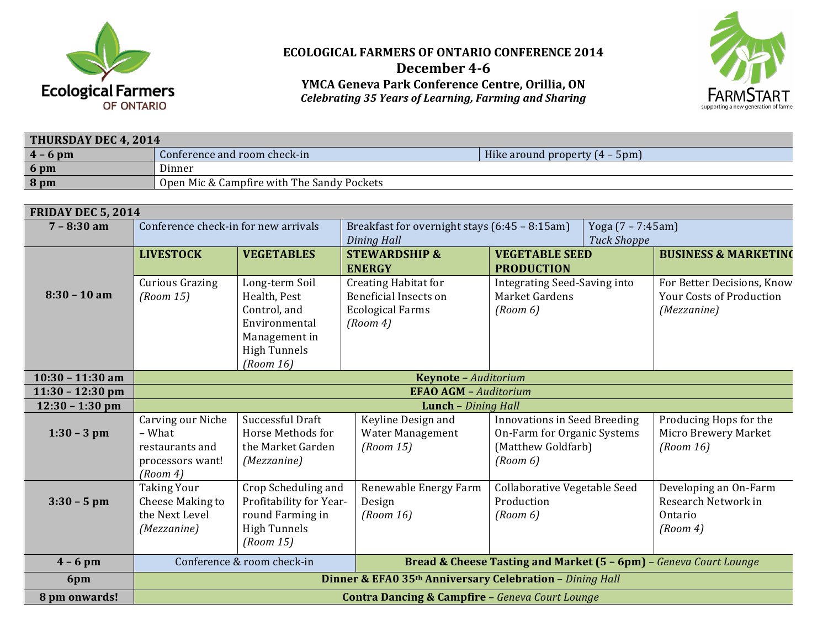

## **ECOLOGICAL FARMERS OF ONTARIO CONFERENCE 2014 December 4-6 YMCA!Geneva!Park!Conference!Centre,!Orillia,!ON** *Celebrating+35+Years+of+Learning,+Farming+and+Sharing*



| <b>THURSDAY DEC 4, 2014</b> |                                            |                                  |  |  |  |  |
|-----------------------------|--------------------------------------------|----------------------------------|--|--|--|--|
| $4 - 6$ pm                  | Conference and room check-in               | Hike around property $(4 - 5pm)$ |  |  |  |  |
| $6 \text{ pm}$              | Dinner                                     |                                  |  |  |  |  |
| $8$ pm                      | Open Mic & Campfire with The Sandy Pockets |                                  |  |  |  |  |

| <b>FRIDAY DEC 5, 2014</b> |                                                                                |                                                                                                         |                                                                                                    |                                                                                                      |                                                                              |  |  |  |  |
|---------------------------|--------------------------------------------------------------------------------|---------------------------------------------------------------------------------------------------------|----------------------------------------------------------------------------------------------------|------------------------------------------------------------------------------------------------------|------------------------------------------------------------------------------|--|--|--|--|
| $7 - 8:30$ am             | Conference check-in for new arrivals                                           |                                                                                                         | Breakfast for overnight stays (6:45 - 8:15am)<br>Dining Hall                                       |                                                                                                      | Yoga (7 – 7:45am)<br><b>Tuck Shoppe</b>                                      |  |  |  |  |
|                           | <b>LIVESTOCK</b>                                                               | <b>VEGETABLES</b>                                                                                       | <b>STEWARDSHIP &amp;</b><br><b>ENERGY</b>                                                          | <b>VEGETABLE SEED</b><br><b>PRODUCTION</b>                                                           | <b>BUSINESS &amp; MARKETING</b>                                              |  |  |  |  |
| $8:30 - 10$ am            | <b>Curious Grazing</b><br>(Room 15)                                            | Long-term Soil<br>Health, Pest<br>Control, and<br>Environmental<br>Management in<br><b>High Tunnels</b> | <b>Creating Habitat for</b><br><b>Beneficial Insects on</b><br><b>Ecological Farms</b><br>(Room 4) | <b>Integrating Seed-Saving into</b><br>Market Gardens<br>(Room 6)                                    | For Better Decisions, Know<br><b>Your Costs of Production</b><br>(Mezzanine) |  |  |  |  |
|                           |                                                                                | (Room 16)                                                                                               |                                                                                                    |                                                                                                      |                                                                              |  |  |  |  |
| $10:30 - 11:30$ am        | Keynote - Auditorium                                                           |                                                                                                         |                                                                                                    |                                                                                                      |                                                                              |  |  |  |  |
| $11:30 - 12:30$ pm        | <b>EFAO AGM - Auditorium</b>                                                   |                                                                                                         |                                                                                                    |                                                                                                      |                                                                              |  |  |  |  |
| $12:30 - 1:30$ pm         | Lunch - Dining Hall                                                            |                                                                                                         |                                                                                                    |                                                                                                      |                                                                              |  |  |  |  |
| $1:30 - 3$ pm             | Carving our Niche<br>– What<br>restaurants and<br>processors want!<br>(Room 4) | Successful Draft<br>Horse Methods for<br>the Market Garden<br>(Mezzanine)                               | Keyline Design and<br>Water Management<br>(Room 15)                                                | <b>Innovations in Seed Breeding</b><br>On-Farm for Organic Systems<br>(Matthew Goldfarb)<br>(Room 6) | Producing Hops for the<br>Micro Brewery Market<br>(Room 16)                  |  |  |  |  |
| $3:30 - 5$ pm             | <b>Taking Your</b><br>Cheese Making to<br>the Next Level<br>(Mezzanine)        | Crop Scheduling and<br>Profitability for Year-<br>round Farming in<br><b>High Tunnels</b><br>(Room 15)  | Renewable Energy Farm<br>Design<br>(Room 16)                                                       | Collaborative Vegetable Seed<br>Production<br>(Room 6)                                               | Developing an On-Farm<br>Research Network in<br>Ontario<br>(Room 4)          |  |  |  |  |
| $4 - 6$ pm                |                                                                                | Conference & room check-in                                                                              | Bread & Cheese Tasting and Market (5 - 6pm) - Geneva Court Lounge                                  |                                                                                                      |                                                                              |  |  |  |  |
| 6pm                       | Dinner & EFA0 35th Anniversary Celebration - Dining Hall                       |                                                                                                         |                                                                                                    |                                                                                                      |                                                                              |  |  |  |  |
| 8 pm onwards!             | <b>Contra Dancing &amp; Campfire - Geneva Court Lounge</b>                     |                                                                                                         |                                                                                                    |                                                                                                      |                                                                              |  |  |  |  |